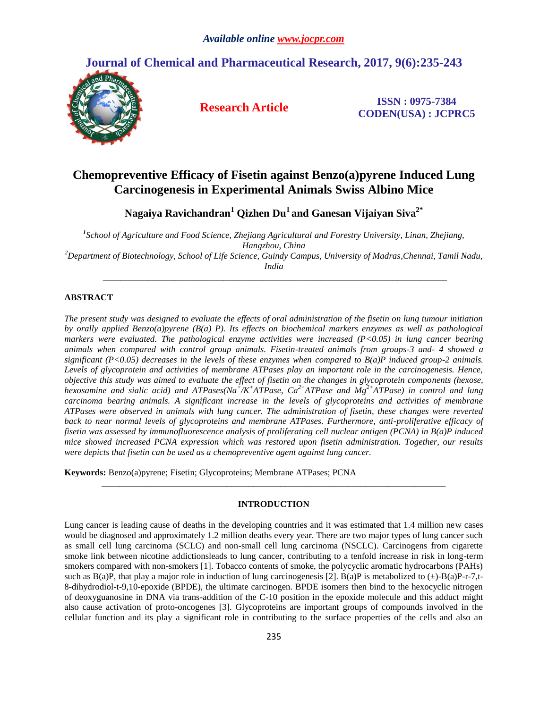# **Journal of Chemical and Pharmaceutical Research, 2017, 9(6):235-243**



**Research Article ISSN : 0975-7384 CODEN(USA) : JCPRC5**

# **Chemopreventive Efficacy of Fisetin against Benzo(a)pyrene Induced Lung Carcinogenesis in Experimental Animals Swiss Albino Mice**

**Nagaiya Ravichandran<sup>1</sup> Qizhen Du<sup>1</sup> and Ganesan Vijaiyan Siva2\***

*1 School of Agriculture and Food Science, Zhejiang Agricultural and Forestry University, Linan, Zhejiang, Hangzhou, China <sup>2</sup>Department of Biotechnology, School of Life Science, Guindy Campus, University of Madras,Chennai, Tamil Nadu, India*

*\_\_\_\_\_\_\_\_\_\_\_\_\_\_\_\_\_\_\_\_\_\_\_\_\_\_\_\_\_\_\_\_\_\_\_\_\_\_\_\_\_\_\_\_\_\_\_\_\_\_\_\_\_\_\_\_\_\_\_\_\_\_\_\_\_\_\_\_\_\_\_\_\_\_\_\_\_*

# **ABSTRACT**

*The present study was designed to evaluate the effects of oral administration of the fisetin on lung tumour initiation by orally applied Benzo(a)pyrene (B(a) P). Its effects on biochemical markers enzymes as well as pathological markers were evaluated. The pathological enzyme activities were increased (P<0.05) in lung cancer bearing animals when compared with control group animals. Fisetin-treated animals from groups-3 and- 4 showed a significant (P<0.05) decreases in the levels of these enzymes when compared to B(a)P induced group-2 animals.*  Levels of glycoprotein and activities of membrane ATPases play an important role in the carcinogenesis. Hence, *objective this study was aimed to evaluate the effect of fisetin on the changes in glycoprotein components (hexose, hexosamine and sialic acid) and ATPases(Na<sup>+</sup> /K<sup>+</sup>ATPase, Ca2+ATPase and Mg2+ATPase) in control and lung carcinoma bearing animals. A significant increase in the levels of glycoproteins and activities of membrane ATPases were observed in animals with lung cancer. The administration of fisetin, these changes were reverted*  back to near normal levels of glycoproteins and membrane ATPases. Furthermore, anti-proliferative efficacy of *fisetin was assessed by immunofluorescence analysis of proliferating cell nuclear antigen (PCNA) in B(a)P induced mice showed increased PCNA expression which was restored upon fisetin administration. Together, our results were depicts that fisetin can be used as a chemopreventive agent against lung cancer.*

**Keywords:** Benzo(a)pyrene; Fisetin; Glycoproteins; Membrane ATPases; PCNA

## **INTRODUCTION**

*\_\_\_\_\_\_\_\_\_\_\_\_\_\_\_\_\_\_\_\_\_\_\_\_\_\_\_\_\_\_\_\_\_\_\_\_\_\_\_\_\_\_\_\_\_\_\_\_\_\_\_\_\_\_\_\_\_\_\_\_\_\_\_\_\_\_\_\_\_\_\_\_\_\_\_\_\_*

Lung cancer is leading cause of deaths in the developing countries and it was estimated that 1.4 million new cases would be diagnosed and approximately 1.2 million deaths every year. There are two major types of lung cancer such as small cell lung carcinoma (SCLC) and non-small cell lung carcinoma (NSCLC). Carcinogens from cigarette smoke link between nicotine addictionsleads to lung cancer, contributing to a tenfold increase in risk in long-term smokers compared with non-smokers [1]. Tobacco contents of smoke, the polycyclic aromatic hydrocarbons (PAHs) such as B(a)P, that play a major role in induction of lung carcinogenesis [2]. B(a)P is metabolized to  $(\pm)$ -B(a)P-r-7,t-8-dihydrodiol-t-9,10-epoxide (BPDE), the ultimate carcinogen. BPDE isomers then bind to the hexocyclic nitrogen of deoxyguanosine in DNA via trans-addition of the C-10 position in the epoxide molecule and this adduct might also cause activation of proto-oncogenes [3]. Glycoproteins are important groups of compounds involved in the cellular function and its play a significant role in contributing to the surface properties of the cells and also an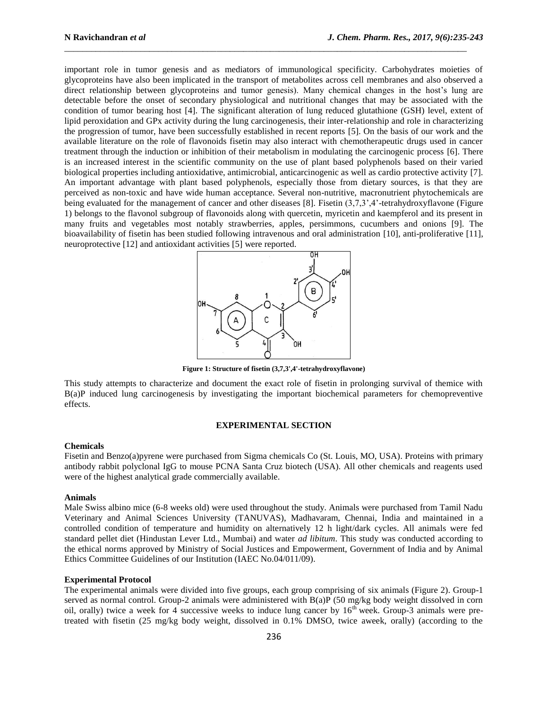important role in tumor genesis and as mediators of immunological specificity. Carbohydrates moieties of glycoproteins have also been implicated in the transport of metabolites across cell membranes and also observed a direct relationship between glycoproteins and tumor genesis). Many chemical changes in the host's lung are detectable before the onset of secondary physiological and nutritional changes that may be associated with the condition of tumor bearing host [4]. The significant alteration of lung reduced glutathione (GSH) level, extent of lipid peroxidation and GPx activity during the lung carcinogenesis, their inter-relationship and role in characterizing the progression of tumor, have been successfully established in recent reports [5]. On the basis of our work and the available literature on the role of flavonoids fisetin may also interact with chemotherapeutic drugs used in cancer treatment through the induction or inhibition of their metabolism in modulating the carcinogenic process [6]. There is an increased interest in the scientific community on the use of plant based polyphenols based on their varied biological properties including antioxidative, antimicrobial, anticarcinogenic as well as cardio protective activity [7]. An important advantage with plant based polyphenols, especially those from dietary sources, is that they are perceived as non-toxic and have wide human acceptance. Several non-nutritive, macronutrient phytochemicals are being evaluated for the management of cancer and other diseases [8]. Fisetin (3,7,3',4'-tetrahydroxyflavone (Figure 1) belongs to the flavonol subgroup of flavonoids along with quercetin, myricetin and kaempferol and its present in many fruits and vegetables most notably strawberries, apples, persimmons, cucumbers and onions [9]. The bioavailability of fisetin has been studied following intravenous and oral administration [10], anti-proliferative [11], neuroprotective [12] and antioxidant activities [5] were reported.

\_\_\_\_\_\_\_\_\_\_\_\_\_\_\_\_\_\_\_\_\_\_\_\_\_\_\_\_\_\_\_\_\_\_\_\_\_\_\_\_\_\_\_\_\_\_\_\_\_\_\_\_\_\_\_\_\_\_\_\_\_\_\_\_\_\_\_\_\_\_\_\_\_\_\_\_\_\_\_\_\_\_\_\_\_\_\_\_\_\_



**Figure 1: Structure of fisetin (3,7,3',4'-tetrahydroxyflavone)**

This study attempts to characterize and document the exact role of fisetin in prolonging survival of themice with B(a)P induced lung carcinogenesis by investigating the important biochemical parameters for chemopreventive effects.

#### **EXPERIMENTAL SECTION**

#### **Chemicals**

Fisetin and Benzo(a)pyrene were purchased from Sigma chemicals Co (St. Louis, MO, USA). Proteins with primary antibody rabbit polyclonal IgG to mouse PCNA Santa Cruz biotech (USA). All other chemicals and reagents used were of the highest analytical grade commercially available.

#### **Animals**

Male Swiss albino mice (6-8 weeks old) were used throughout the study. Animals were purchased from Tamil Nadu Veterinary and Animal Sciences University (TANUVAS), Madhavaram, Chennai, India and maintained in a controlled condition of temperature and humidity on alternatively 12 h light/dark cycles. All animals were fed standard pellet diet (Hindustan Lever Ltd., Mumbai) and water *ad libitum*. This study was conducted according to the ethical norms approved by Ministry of Social Justices and Empowerment, Government of India and by Animal Ethics Committee Guidelines of our Institution (IAEC No.04/011/09).

#### **Experimental Protocol**

The experimental animals were divided into five groups, each group comprising of six animals (Figure 2). Group-1 served as normal control. Group-2 animals were administered with B(a)P (50 mg/kg body weight dissolved in corn oil, orally) twice a week for 4 successive weeks to induce lung cancer by  $16^{th}$  week. Group-3 animals were pretreated with fisetin (25 mg/kg body weight, dissolved in 0.1% DMSO, twice aweek, orally) (according to the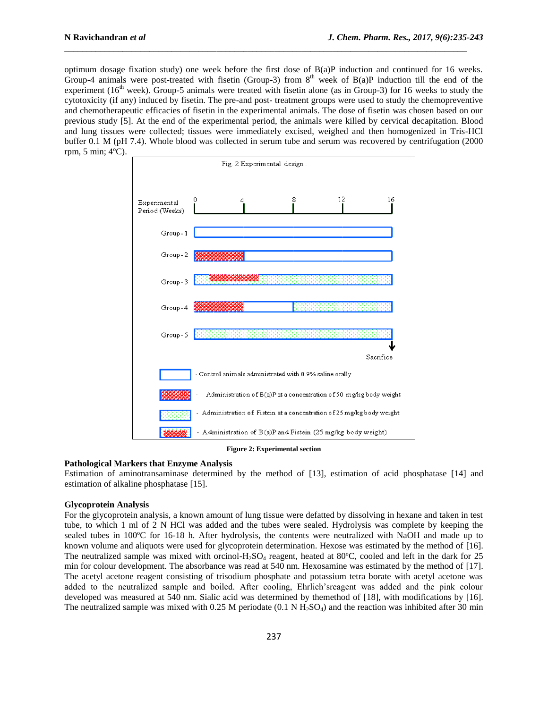optimum dosage fixation study) one week before the first dose of B(a)P induction and continued for 16 weeks. Group-4 animals were post-treated with fisetin (Group-3) from  $8<sup>th</sup>$  week of B(a)P induction till the end of the experiment (16<sup>th</sup> week). Group-5 animals were treated with fisetin alone (as in Group-3) for 16 weeks to study the cytotoxicity (if any) induced by fisetin. The pre-and post- treatment groups were used to study the chemopreventive and chemotherapeutic efficacies of fisetin in the experimental animals. The dose of fisetin was chosen based on our previous study [5]. At the end of the experimental period, the animals were killed by cervical decapitation. Blood and lung tissues were collected; tissues were immediately excised, weighed and then homogenized in Tris-HCl buffer 0.1 M (pH 7.4). Whole blood was collected in serum tube and serum was recovered by centrifugation (2000 rpm, 5 min; 4ºC).

\_\_\_\_\_\_\_\_\_\_\_\_\_\_\_\_\_\_\_\_\_\_\_\_\_\_\_\_\_\_\_\_\_\_\_\_\_\_\_\_\_\_\_\_\_\_\_\_\_\_\_\_\_\_\_\_\_\_\_\_\_\_\_\_\_\_\_\_\_\_\_\_\_\_\_\_\_\_\_\_\_\_\_\_\_\_\_\_\_\_



**Figure 2: Experimental section**

#### **Pathological Markers that Enzyme Analysis**

Estimation of aminotransaminase determined by the method of [13], estimation of acid phosphatase [14] and estimation of alkaline phosphatase [15].

#### **Glycoprotein Analysis**

For the glycoprotein analysis, a known amount of lung tissue were defatted by dissolving in hexane and taken in test tube, to which 1 ml of 2 N HCl was added and the tubes were sealed. Hydrolysis was complete by keeping the sealed tubes in 100ºC for 16-18 h. After hydrolysis, the contents were neutralized with NaOH and made up to known volume and aliquots were used for glycoprotein determination. Hexose was estimated by the method of [16]. The neutralized sample was mixed with orcinol-H<sub>2</sub>SO<sub>4</sub> reagent, heated at 80°C, cooled and left in the dark for 25 min for colour development. The absorbance was read at 540 nm. Hexosamine was estimated by the method of [17]. The acetyl acetone reagent consisting of trisodium phosphate and potassium tetra borate with acetyl acetone was added to the neutralized sample and boiled. After cooling, Ehrlich'sreagent was added and the pink colour developed was measured at 540 nm. Sialic acid was determined by themethod of [18], with modifications by [16]. The neutralized sample was mixed with 0.25 M periodate  $(0.1 \text{ N H}_2\text{SO}_4)$  and the reaction was inhibited after 30 min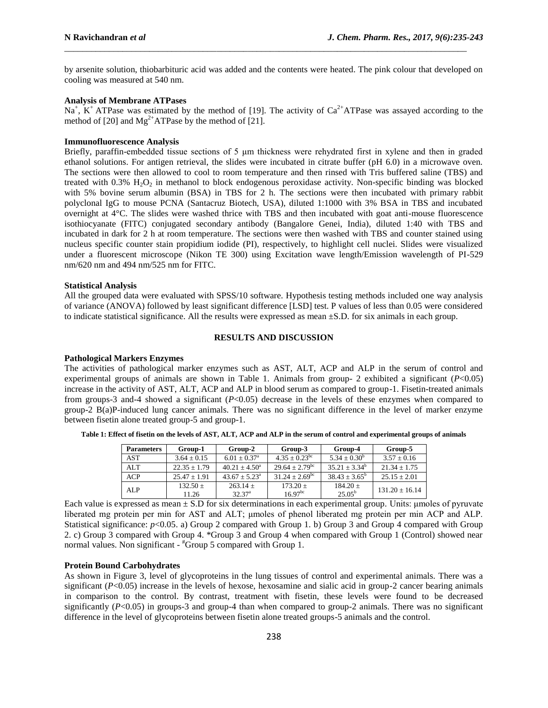by arsenite solution, thiobarbituric acid was added and the contents were heated. The pink colour that developed on cooling was measured at 540 nm.

\_\_\_\_\_\_\_\_\_\_\_\_\_\_\_\_\_\_\_\_\_\_\_\_\_\_\_\_\_\_\_\_\_\_\_\_\_\_\_\_\_\_\_\_\_\_\_\_\_\_\_\_\_\_\_\_\_\_\_\_\_\_\_\_\_\_\_\_\_\_\_\_\_\_\_\_\_\_\_\_\_\_\_\_\_\_\_\_\_\_

## **Analysis of Membrane ATPases**

Na<sup>+</sup>,  $K^+$  ATPase was estimated by the method of [19]. The activity of Ca<sup>2+</sup>ATPase was assayed according to the method of [20] and  $Mg^{2+}ATP$ ase by the method of [21].

## **Immunofluorescence Analysis**

Briefly, paraffin-embedded tissue sections of 5 μm thickness were rehydrated first in xylene and then in graded ethanol solutions. For antigen retrieval, the slides were incubated in citrate buffer (pH 6.0) in a microwave oven. The sections were then allowed to cool to room temperature and then rinsed with Tris buffered saline (TBS) and treated with  $0.3\%$  H<sub>2</sub>O<sub>2</sub> in methanol to block endogenous peroxidase activity. Non-specific binding was blocked with 5% bovine serum albumin (BSA) in TBS for 2 h. The sections were then incubated with primary rabbit polyclonal IgG to mouse PCNA (Santacruz Biotech, USA), diluted 1:1000 with 3% BSA in TBS and incubated overnight at 4°C. The slides were washed thrice with TBS and then incubated with goat anti-mouse fluorescence isothiocyanate (FITC) conjugated secondary antibody (Bangalore Genei, India), diluted 1:40 with TBS and incubated in dark for 2 h at room temperature. The sections were then washed with TBS and counter stained using nucleus specific counter stain propidium iodide (PI), respectively, to highlight cell nuclei. Slides were visualized under a fluorescent microscope (Nikon TE 300) using Excitation wave length/Emission wavelength of PI-529 nm/620 nm and 494 nm/525 nm for FITC.

#### **Statistical Analysis**

All the grouped data were evaluated with SPSS/10 software. Hypothesis testing methods included one way analysis of variance (ANOVA) followed by least significant difference [LSD] test. P values of less than 0.05 were considered to indicate statistical significance. All the results were expressed as mean ±S.D. for six animals in each group.

#### **RESULTS AND DISCUSSION**

## **Pathological Markers Enzymes**

The activities of pathological marker enzymes such as AST, ALT, ACP and ALP in the serum of control and experimental groups of animals are shown in Table 1. Animals from group- 2 exhibited a significant (*P*<0.05) increase in the activity of AST, ALT, ACP and ALP in blood serum as compared to group-1. Fisetin-treated animals from groups-3 and-4 showed a significant (*P*<0.05) decrease in the levels of these enzymes when compared to group-2 B(a)P-induced lung cancer animals. There was no significant difference in the level of marker enzyme between fisetin alone treated group-5 and group-1.

| <b>Parameters</b> | Group-1             | Group-2                          | Group-3                      | Group-4                       | Group-5          |
|-------------------|---------------------|----------------------------------|------------------------------|-------------------------------|------------------|
| <b>AST</b>        | $3.64 + 0.15$       | $6.01 + 0.37$ <sup>a</sup>       | $4.35 + 0.23^{bc}$           | $5.34 + 0.30^b$               | $3.57 + 0.16$    |
| AI.T              | $22.35 + 1.79$      | $40.21 + 4.50^a$                 | $29.64 + 2.79$ <sup>bc</sup> | $35.21 + 3.34^b$              | $21.34 \pm 1.75$ |
| ACP               | $25.47 + 1.91$      | $43.67 + 5.23^{\circ}$           | $31.24 + 2.69^{\rm bc}$      | $38.43 + 3.65^b$              | $25.15 + 2.01$   |
| ALP               | $132.50 +$<br>11.26 | $263.14 +$<br>32.37 <sup>a</sup> | $173.20 +$<br>$16.97^{bc}$   | $184.20 +$<br>$25.05^{\rm b}$ | $131.20 + 16.14$ |

**Table 1: Effect of fisetin on the levels of AST, ALT, ACP and ALP in the serum of control and experimental groups of animals**

Each value is expressed as mean ± S.D for six determinations in each experimental group. Units: μmoles of pyruvate liberated mg protein per min for AST and ALT; μmoles of phenol liberated mg protein per min ACP and ALP. Statistical significance: *p*<0.05. a) Group 2 compared with Group 1. b) Group 3 and Group 4 compared with Group 2. c) Group 3 compared with Group 4. \*Group 3 and Group 4 when compared with Group 1 (Control) showed near normal values. Non significant - #Group 5 compared with Group 1.

## **Protein Bound Carbohydrates**

As shown in Figure 3, level of glycoproteins in the lung tissues of control and experimental animals. There was a significant (*P*<0.05) increase in the levels of hexose, hexosamine and sialic acid in group-2 cancer bearing animals in comparison to the control. By contrast, treatment with fisetin, these levels were found to be decreased significantly (*P*<0.05) in groups-3 and group-4 than when compared to group-2 animals. There was no significant difference in the level of glycoproteins between fisetin alone treated groups-5 animals and the control.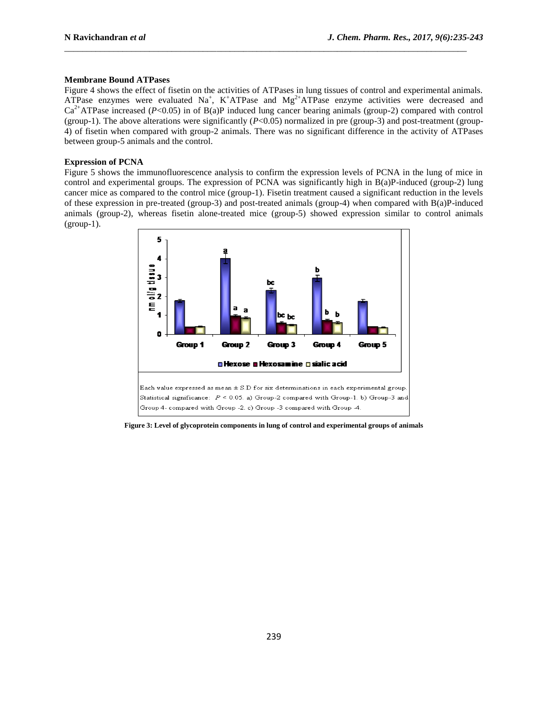## **Membrane Bound ATPases**

Figure 4 shows the effect of fisetin on the activities of ATPases in lung tissues of control and experimental animals. ATPase enzymes were evaluated  $Na^+$ , K<sup>+</sup>ATPase and  $Mg^{2+}$ ATPase enzyme activities were decreased and  $Ca<sup>2+</sup>ATPase increased (P<0.05)$  in of B(a)P induced lung cancer bearing animals (group-2) compared with control (group-1). The above alterations were significantly  $(P<0.05)$  normalized in pre (group-3) and post-treatment (group-4) of fisetin when compared with group-2 animals. There was no significant difference in the activity of ATPases between group-5 animals and the control.

\_\_\_\_\_\_\_\_\_\_\_\_\_\_\_\_\_\_\_\_\_\_\_\_\_\_\_\_\_\_\_\_\_\_\_\_\_\_\_\_\_\_\_\_\_\_\_\_\_\_\_\_\_\_\_\_\_\_\_\_\_\_\_\_\_\_\_\_\_\_\_\_\_\_\_\_\_\_\_\_\_\_\_\_\_\_\_\_\_\_

## **Expression of PCNA**

Figure 5 shows the immunofluorescence analysis to confirm the expression levels of PCNA in the lung of mice in control and experimental groups. The expression of PCNA was significantly high in B(a)P-induced (group-2) lung cancer mice as compared to the control mice (group-1). Fisetin treatment caused a significant reduction in the levels of these expression in pre-treated (group-3) and post-treated animals (group-4) when compared with B(a)P-induced animals (group-2), whereas fisetin alone-treated mice (group-5) showed expression similar to control animals  $(group-1)$ .



**Figure 3: Level of glycoprotein components in lung of control and experimental groups of animals**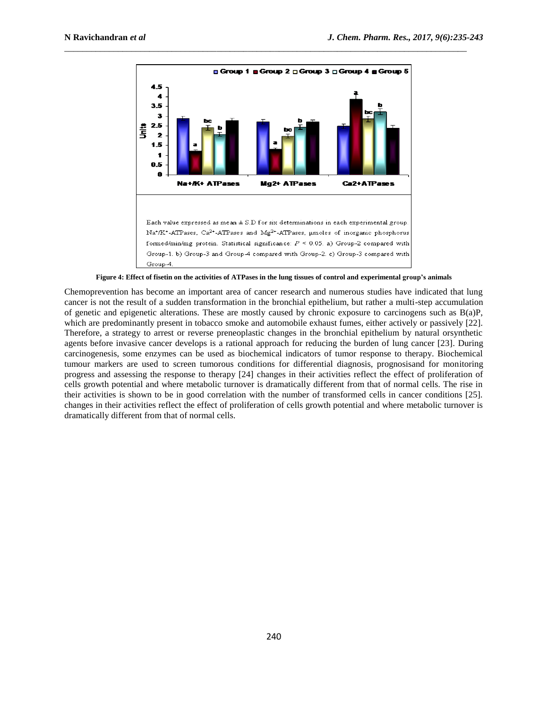

\_\_\_\_\_\_\_\_\_\_\_\_\_\_\_\_\_\_\_\_\_\_\_\_\_\_\_\_\_\_\_\_\_\_\_\_\_\_\_\_\_\_\_\_\_\_\_\_\_\_\_\_\_\_\_\_\_\_\_\_\_\_\_\_\_\_\_\_\_\_\_\_\_\_\_\_\_\_\_\_\_\_\_\_\_\_\_\_\_\_

**Figure 4: Effect of fisetin on the activities of ATPases in the lung tissues of control and experimental group's animals**

Chemoprevention has become an important area of cancer research and numerous studies have indicated that lung cancer is not the result of a sudden transformation in the bronchial epithelium, but rather a multi-step accumulation of genetic and epigenetic alterations. These are mostly caused by chronic exposure to carcinogens such as B(a)P, which are predominantly present in tobacco smoke and automobile exhaust fumes, either actively or passively [22]. Therefore, a strategy to arrest or reverse preneoplastic changes in the bronchial epithelium by natural orsynthetic agents before invasive cancer develops is a rational approach for reducing the burden of lung cancer [23]. During carcinogenesis, some enzymes can be used as biochemical indicators of tumor response to therapy. Biochemical tumour markers are used to screen tumorous conditions for differential diagnosis, prognosisand for monitoring progress and assessing the response to therapy [24] changes in their activities reflect the effect of proliferation of cells growth potential and where metabolic turnover is dramatically different from that of normal cells. The rise in their activities is shown to be in good correlation with the number of transformed cells in cancer conditions [25]. changes in their activities reflect the effect of proliferation of cells growth potential and where metabolic turnover is dramatically different from that of normal cells.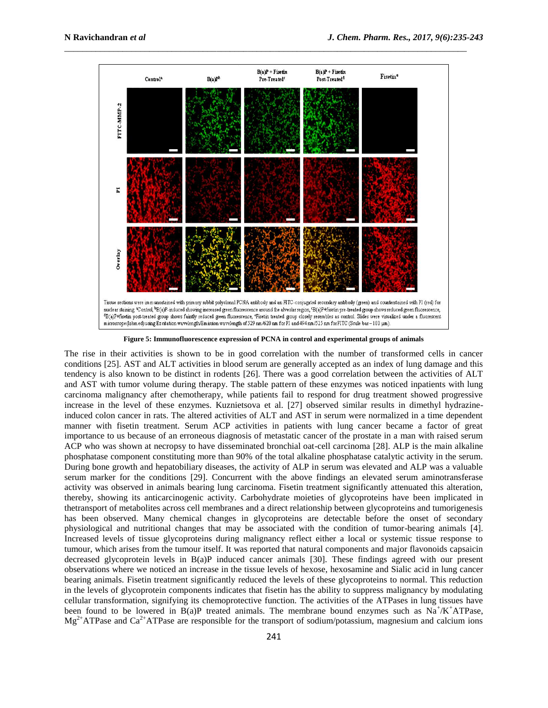

\_\_\_\_\_\_\_\_\_\_\_\_\_\_\_\_\_\_\_\_\_\_\_\_\_\_\_\_\_\_\_\_\_\_\_\_\_\_\_\_\_\_\_\_\_\_\_\_\_\_\_\_\_\_\_\_\_\_\_\_\_\_\_\_\_\_\_\_\_\_\_\_\_\_\_\_\_\_\_\_\_\_\_\_\_\_\_\_\_\_

**Figure 5: Immunofluorescence expression of PCNA in control and experimental groups of animals**

The rise in their activities is shown to be in good correlation with the number of transformed cells in cancer conditions [25]. AST and ALT activities in blood serum are generally accepted as an index of lung damage and this tendency is also known to be distinct in rodents [26]. There was a good correlation between the activities of ALT and AST with tumor volume during therapy. The stable pattern of these enzymes was noticed inpatients with lung carcinoma malignancy after chemotherapy, while patients fail to respond for drug treatment showed progressive increase in the level of these enzymes. Kuznietsova et al. [27] observed similar results in dimethyl hydrazineinduced colon cancer in rats. The altered activities of ALT and AST in serum were normalized in a time dependent manner with fisetin treatment. Serum ACP activities in patients with lung cancer became a factor of great importance to us because of an erroneous diagnosis of metastatic cancer of the prostate in a man with raised serum ACP who was shown at necropsy to have disseminated bronchial oat-cell carcinoma [28]. ALP is the main alkaline phosphatase component constituting more than 90% of the total alkaline phosphatase catalytic activity in the serum. During bone growth and hepatobiliary diseases, the activity of ALP in serum was elevated and ALP was a valuable serum marker for the conditions [29]. Concurrent with the above findings an elevated serum aminotransferase activity was observed in animals bearing lung carcinoma. Fisetin treatment significantly attenuated this alteration, thereby, showing its anticarcinogenic activity. Carbohydrate moieties of glycoproteins have been implicated in thetransport of metabolites across cell membranes and a direct relationship between glycoproteins and tumorigenesis has been observed. Many chemical changes in glycoproteins are detectable before the onset of secondary physiological and nutritional changes that may be associated with the condition of tumor-bearing animals [4]. Increased levels of tissue glycoproteins during malignancy reflect either a local or systemic tissue response to tumour, which arises from the tumour itself. It was reported that natural components and major flavonoids capsaicin decreased glycoprotein levels in B(a)P induced cancer animals [30]. These findings agreed with our present observations where we noticed an increase in the tissue levels of hexose, hexosamine and Sialic acid in lung cancer bearing animals. Fisetin treatment significantly reduced the levels of these glycoproteins to normal. This reduction in the levels of glycoprotein components indicates that fisetin has the ability to suppress malignancy by modulating cellular transformation, signifying its chemoprotective function. The activities of the ATPases in lung tissues have been found to be lowered in  $B(a)P$  treated animals. The membrane bound enzymes such as  $Na^+/K^+ATP$ ase,  $Mg^{2+}$ ATPase and Ca<sup>2+</sup>ATPase are responsible for the transport of sodium/potassium, magnesium and calcium ions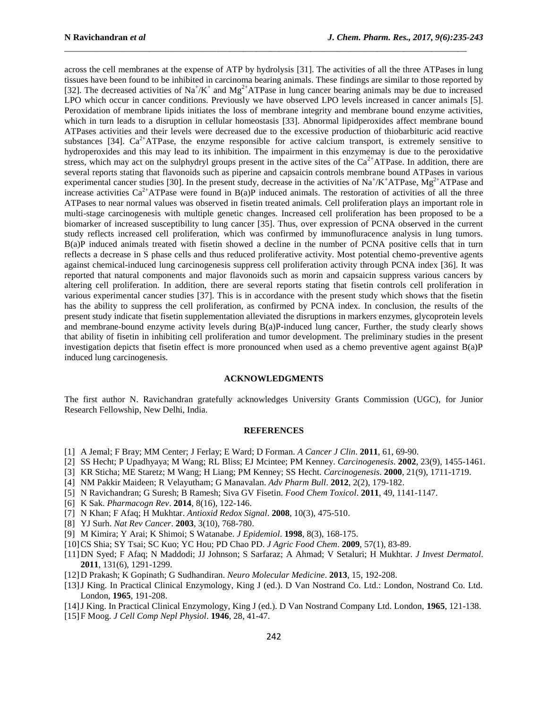across the cell membranes at the expense of ATP by hydrolysis [31]. The activities of all the three ATPases in lung tissues have been found to be inhibited in carcinoma bearing animals. These findings are similar to those reported by [32]. The decreased activities of Na<sup>+</sup>/K<sup>+</sup> and Mg<sup>2+</sup>ATPase in lung cancer bearing animals may be due to increased LPO which occur in cancer conditions. Previously we have observed LPO levels increased in cancer animals [5]. Peroxidation of membrane lipids initiates the loss of membrane integrity and membrane bound enzyme activities, which in turn leads to a disruption in cellular homeostasis [33]. Abnormal lipidperoxides affect membrane bound ATPases activities and their levels were decreased due to the excessive production of thiobarbituric acid reactive substances [34].  $Ca^{2+}ATPase$ , the enzyme responsible for active calcium transport, is extremely sensitive to hydroperoxides and this may lead to its inhibition. The impairment in this enzymemay is due to the peroxidative stress, which may act on the sulphydryl groups present in the active sites of the  $Ca<sup>2+</sup>ATPase$ . In addition, there are several reports stating that flavonoids such as piperine and capsaicin controls membrane bound ATPases in various experimental cancer studies [30]. In the present study, decrease in the activities of Na<sup>+</sup>/K<sup>+</sup>ATPase, Mg<sup>2+</sup>ATPase and increase activities  $Ca^{2+}ATP$ ase were found in  $B(a)P$  induced animals. The restoration of activities of all the three ATPases to near normal values was observed in fisetin treated animals. Cell proliferation plays an important role in multi-stage carcinogenesis with multiple genetic changes. Increased cell proliferation has been proposed to be a biomarker of increased susceptibility to lung cancer [35]. Thus, over expression of PCNA observed in the current study reflects increased cell proliferation, which was confirmed by immunofluracence analysis in lung tumors. B(a)P induced animals treated with fisetin showed a decline in the number of PCNA positive cells that in turn reflects a decrease in S phase cells and thus reduced proliferative activity. Most potential chemo-preventive agents against chemical-induced lung carcinogenesis suppress cell proliferation activity through PCNA index [36]. It was reported that natural components and major flavonoids such as morin and capsaicin suppress various cancers by altering cell proliferation. In addition, there are several reports stating that fisetin controls cell proliferation in various experimental cancer studies [37]. This is in accordance with the present study which shows that the fisetin has the ability to suppress the cell proliferation, as confirmed by PCNA index. In conclusion, the results of the present study indicate that fisetin supplementation alleviated the disruptions in markers enzymes, glycoprotein levels and membrane-bound enzyme activity levels during B(a)P-induced lung cancer, Further, the study clearly shows that ability of fisetin in inhibiting cell proliferation and tumor development. The preliminary studies in the present investigation depicts that fisetin effect is more pronounced when used as a chemo preventive agent against B(a)P induced lung carcinogenesis.

\_\_\_\_\_\_\_\_\_\_\_\_\_\_\_\_\_\_\_\_\_\_\_\_\_\_\_\_\_\_\_\_\_\_\_\_\_\_\_\_\_\_\_\_\_\_\_\_\_\_\_\_\_\_\_\_\_\_\_\_\_\_\_\_\_\_\_\_\_\_\_\_\_\_\_\_\_\_\_\_\_\_\_\_\_\_\_\_\_\_

## **ACKNOWLEDGMENTS**

The first author N. Ravichandran gratefully acknowledges University Grants Commission (UGC), for Junior Research Fellowship, New Delhi, India.

#### **REFERENCES**

- [1] A Jemal; F Bray; MM Center; J Ferlay; E Ward; D Forman. *A Cancer J Clin*. **2011**, 61, 69-90.
- [2] SS Hecht; P Upadhyaya; M Wang; RL Bliss; EJ Mcintee; PM Kenney. *Carcinogenesis*. **2002**, 23(9), 1455-1461.
- [3] KR Sticha; ME Staretz; M Wang; H Liang; PM Kenney; SS Hecht. *Carcinogenesis*. **2000**, 21(9), 1711-1719.
- [4] NM Pakkir Maideen; R Velayutham; G Manavalan. *Adv Pharm Bull*. **2012**, 2(2), 179-182.
- [5] N Ravichandran; G Suresh; B Ramesh; Siva GV Fisetin. *Food Chem Toxicol*. **2011**, 49, 1141-1147.
- [6] K Sak. *Pharmacogn Rev*. **2014**, 8(16), 122-146.
- [7] N Khan; F Afaq; H Mukhtar. *Antioxid Redox Signal*. **2008**, 10(3), 475-510.
- [8] YJ Surh. *Nat Rev Cancer*. **2003**, 3(10), 768-780.
- [9] M Kimira; Y Arai; K Shimoi; S Watanabe. *J Epidemiol*. **1998**, 8(3), 168-175.
- [10]CS Shia; SY Tsai; SC Kuo; YC Hou; PD Chao PD. *J Agric Food Chem*. **2009**, 57(1), 83-89.
- [11]DN Syed; F Afaq; N Maddodi; JJ Johnson; S Sarfaraz; A Ahmad; V Setaluri; H Mukhtar. *J Invest Dermatol*. **2011**, 131(6), 1291-1299.
- [12]D Prakash; K Gopinath; G Sudhandiran. *Neuro Molecular Medicine*. **2013**, 15, 192-208.
- [13]J King. In Practical Clinical Enzymology, King J (ed.). D Van Nostrand Co. Ltd.: London, Nostrand Co. Ltd. London, **1965**, 191-208.
- [14]J King. In Practical Clinical Enzymology, King J (ed.). D Van Nostrand Company Ltd. London, **1965**, 121-138.
- [15]F Moog. *J Cell Comp Nepl Physiol*. **1946**, 28, 41-47.